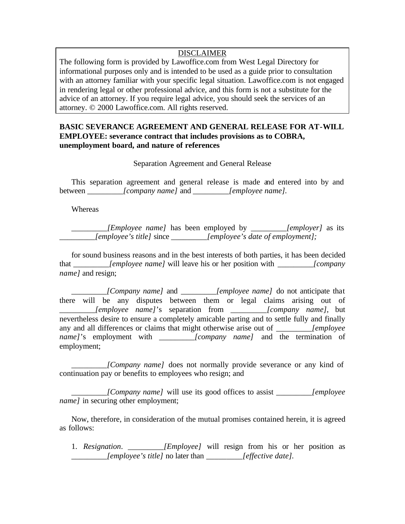## DISCLAIMER

The following form is provided by Lawoffice.com from West Legal Directory for informational purposes only and is intended to be used as a guide prior to consultation with an attorney familiar with your specific legal situation. Lawoffice.com is not engaged in rendering legal or other professional advice, and this form is not a substitute for the advice of an attorney. If you require legal advice, you should seek the services of an attorney. © 2000 Lawoffice.com. All rights reserved.

## **BASIC SEVERANCE AGREEMENT AND GENERAL RELEASE FOR AT-WILL EMPLOYEE: severance contract that includes provisions as to COBRA, unemployment board, and nature of references**

Separation Agreement and General Release

This separation agreement and general release is made and entered into by and between *\_\_\_\_\_\_\_\_\_[company name]* and *\_\_\_\_\_\_\_\_\_[employee name].*

**Whereas** 

*\_\_\_\_\_\_\_\_\_[Employee name]* has been employed by *\_\_\_\_\_\_\_\_\_[employer]* as its *\_\_\_\_\_\_\_\_\_[employee's title]* since *\_\_\_\_\_\_\_\_\_[employee's date of employment];*

for sound business reasons and in the best interests of both parties, it has been decided that *[employee name]* will leave his or her position with *[company name]* and resign;

*[Company name]* and *[employee name]* do not anticipate that there will be any disputes between them or legal claims arising out of *\_\_\_\_\_\_\_\_\_[employee name]*'s separation from *\_\_\_\_\_\_\_\_\_[company name],* but nevertheless desire to ensure a completely amicable parting and to settle fully and finally any and all differences or claims that might otherwise arise out of *[employee lemployee name]*'s employment with *[company name]* and the termination of employment;

*[Company name]* does not normally provide severance or any kind of continuation pay or benefits to employees who resign; and

*\_\_\_\_\_\_\_\_\_[Company name]* will use its good offices to assist *\_\_\_\_\_\_\_\_\_[employee name l* in securing other employment;

Now, therefore, in consideration of the mutual promises contained herein, it is agreed as follows:

1. *Resignation*. *\_\_\_\_\_\_\_\_\_[Employee]* will resign from his or her position as *\_\_\_\_\_\_\_\_\_[employee's title]* no later than *\_\_\_\_\_\_\_\_\_[effective date].*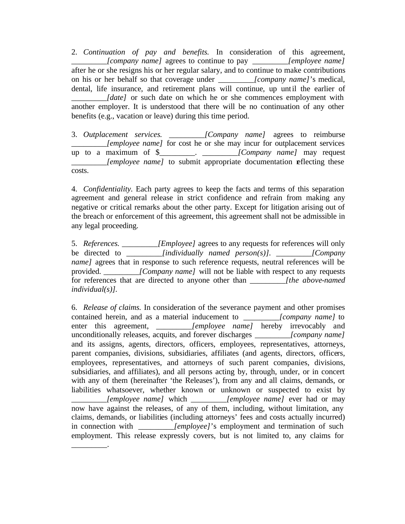2. *Continuation of pay and benefits.* In consideration of this agreement, *\_\_\_\_\_\_\_\_\_[company name]* agrees to continue to pay *\_\_\_\_\_\_\_\_\_[employee name]* after he or she resigns his or her regular salary, and to continue to make contributions on his or her behalf so that coverage under *\_\_\_\_\_\_\_\_\_[company name]*'s medical, dental, life insurance, and retirement plans will continue, up until the earlier of *[date]* or such date on which he or she commences employment with another employer. It is understood that there will be no continuation of any other benefits (e.g., vacation or leave) during this time period.

3. *Outplacement services. \_\_\_\_\_\_\_\_\_[Company name]* agrees to reimburse *\_\_\_\_\_\_\_\_\_[employee name]* for cost he or she may incur for outplacement services up to a maximum of \$\_\_\_\_\_\_\_\_\_. *\_\_\_\_\_\_\_\_\_[Company name]* may request *lemployee name]* to submit appropriate documentation reflecting these costs.

4. *Confidentiality.* Each party agrees to keep the facts and terms of this separation agreement and general release in strict confidence and refrain from making any negative or critical remarks about the other party. Except for litigation arising out of the breach or enforcement of this agreement, this agreement shall not be admissible in any legal proceeding.

5. *References. \_\_\_\_\_\_\_\_\_[Employee]* agrees to any requests for references will only be directed to *\_\_\_\_\_\_\_\_\_[individually named person(s)]. \_\_\_\_\_\_\_\_\_[Company name]* agrees that in response to such reference requests, neutral references will be provided. *[Company name]* will not be liable with respect to any requests for references that are directed to anyone other than *\_\_\_\_\_\_\_\_\_[the above-named individual(s)].*

6. *Release of claims.* In consideration of the severance payment and other promises contained herein, and as a material inducement to *[company name]* to enter this agreement, *[employee name]* hereby irrevocably and unconditionally releases, acquits, and forever discharges *\_\_\_\_\_\_\_\_\_[company name]* and its assigns, agents, directors, officers, employees, representatives, attorneys, parent companies, divisions, subsidiaries, affiliates (and agents, directors, officers, employees, representatives, and attorneys of such parent companies, divisions, subsidiaries, and affiliates), and all persons acting by, through, under, or in concert with any of them (hereinafter 'the Releases'), from any and all claims, demands, or liabilities whatsoever, whether known or unknown or suspected to exist by *\_\_\_\_\_\_\_\_\_[employee name]* which *\_\_\_\_\_\_\_\_\_[employee name]* ever had or may now have against the releases, of any of them, including, without limitation, any claims, demands, or liabilities (including attorneys' fees and costs actually incurred) in connection with *[employee]*'s employment and termination of such employment. This release expressly covers, but is not limited to, any claims for

\_\_\_\_\_\_\_\_\_.